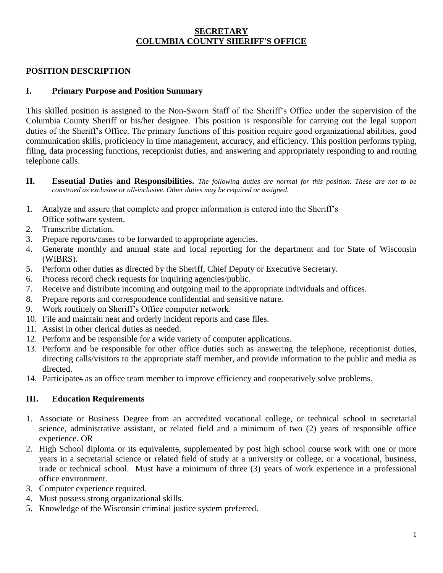### **SECRETARY COLUMBIA COUNTY SHERIFF'S OFFICE**

### **POSITION DESCRIPTION**

### **I. Primary Purpose and Position Summary**

This skilled position is assigned to the Non-Sworn Staff of the Sheriff's Office under the supervision of the Columbia County Sheriff or his/her designee. This position is responsible for carrying out the legal support duties of the Sheriff's Office. The primary functions of this position require good organizational abilities, good communication skills, proficiency in time management, accuracy, and efficiency. This position performs typing, filing, data processing functions, receptionist duties, and answering and appropriately responding to and routing telephone calls.

- **II. Essential Duties and Responsibilities.** *The following duties are normal for this position. These are not to be construed as exclusive or all-inclusive. Other duties may be required or assigned.*
- 1. Analyze and assure that complete and proper information is entered into the Sheriff's Office software system.
- 2. Transcribe dictation.
- 3. Prepare reports/cases to be forwarded to appropriate agencies.
- 4. Generate monthly and annual state and local reporting for the department and for State of Wisconsin (WIBRS).
- 5. Perform other duties as directed by the Sheriff, Chief Deputy or Executive Secretary.
- 6. Process record check requests for inquiring agencies/public.
- 7. Receive and distribute incoming and outgoing mail to the appropriate individuals and offices.
- 8. Prepare reports and correspondence confidential and sensitive nature.
- 9. Work routinely on Sheriff's Office computer network.
- 10. File and maintain neat and orderly incident reports and case files.
- 11. Assist in other clerical duties as needed.
- 12. Perform and be responsible for a wide variety of computer applications.
- 13. Perform and be responsible for other office duties such as answering the telephone, receptionist duties, directing calls/visitors to the appropriate staff member, and provide information to the public and media as directed.
- 14. Participates as an office team member to improve efficiency and cooperatively solve problems.

### **III. Education Requirements**

- 1. Associate or Business Degree from an accredited vocational college, or technical school in secretarial science, administrative assistant, or related field and a minimum of two (2) years of responsible office experience. OR
- 2. High School diploma or its equivalents, supplemented by post high school course work with one or more years in a secretarial science or related field of study at a university or college, or a vocational, business, trade or technical school. Must have a minimum of three (3) years of work experience in a professional office environment.
- 3. Computer experience required.
- 4. Must possess strong organizational skills.
- 5. Knowledge of the Wisconsin criminal justice system preferred.